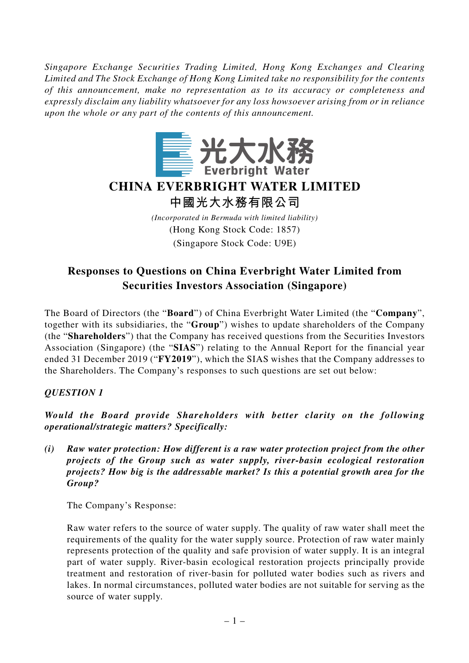*Singapore Exchange Securities Trading Limited, Hong Kong Exchanges and Clearing Limited and The Stock Exchange of Hong Kong Limited take no responsibility for the contents of this announcement, make no representation as to its accuracy or completeness and expressly disclaim any liability whatsoever for any loss howsoever arising from or in reliance upon the whole or any part of the contents of this announcement.*



# **CHINA EVERBRIGHT WATER LIMITED**

**中國光大水務有限公司**

*(Incorporated in Bermuda with limited liability)* (Hong Kong Stock Code: 1857) (Singapore Stock Code: U9E)

# **Responses to Questions on China Everbright Water Limited from Securities Investors Association (Singapore)**

The Board of Directors (the "**Board**") of China Everbright Water Limited (the "**Company**", together with its subsidiaries, the "**Group**") wishes to update shareholders of the Company (the "**Shareholders**") that the Company has received questions from the Securities Investors Association (Singapore) (the "**SIAS**") relating to the Annual Report for the financial year ended 31 December 2019 ("**FY2019**"), which the SIAS wishes that the Company addresses to the Shareholders. The Company's responses to such questions are set out below:

## *QUESTION 1*

*Would the Board provide Shareholders with better clarity on the following operational/strategic matters? Specifically:*

*(i) Raw water protection: How different is a raw water protection project from the other projects of the Group such as water supply, river-basin ecological restoration projects? How big is the addressable market? Is this a potential growth area for the Group?*

The Company's Response:

Raw water refers to the source of water supply. The quality of raw water shall meet the requirements of the quality for the water supply source. Protection of raw water mainly represents protection of the quality and safe provision of water supply. It is an integral part of water supply. River-basin ecological restoration projects principally provide treatment and restoration of river-basin for polluted water bodies such as rivers and lakes. In normal circumstances, polluted water bodies are not suitable for serving as the source of water supply.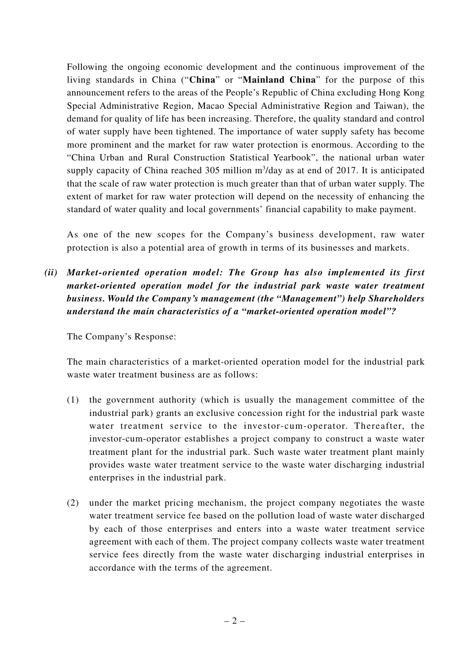Following the ongoing economic development and the continuous improvement of the living standards in China ("**China**" or "**Mainland China**" for the purpose of this announcement refers to the areas of the People's Republic of China excluding Hong Kong Special Administrative Region, Macao Special Administrative Region and Taiwan), the demand for quality of life has been increasing. Therefore, the quality standard and control of water supply have been tightened. The importance of water supply safety has become more prominent and the market for raw water protection is enormous. According to the "China Urban and Rural Construction Statistical Yearbook", the national urban water supply capacity of China reached 305 million  $m^3$ /day as at end of 2017. It is anticipated that the scale of raw water protection is much greater than that of urban water supply. The extent of market for raw water protection will depend on the necessity of enhancing the standard of water quality and local governments' financial capability to make payment.

As one of the new scopes for the Company's business development, raw water protection is also a potential area of growth in terms of its businesses and markets.

*(ii) Market-oriented operation model: The Group has also implemented its first market-oriented operation model for the industrial park waste water treatment business. Would the Company's management (the "Management") help Shareholders understand the main characteristics of a "market-oriented operation model"?*

The Company's Response:

The main characteristics of a market-oriented operation model for the industrial park waste water treatment business are as follows:

- (1) the government authority (which is usually the management committee of the industrial park) grants an exclusive concession right for the industrial park waste water treatment service to the investor-cum-operator. Thereafter, the investor-cum-operator establishes a project company to construct a waste water treatment plant for the industrial park. Such waste water treatment plant mainly provides waste water treatment service to the waste water discharging industrial enterprises in the industrial park.
- (2) under the market pricing mechanism, the project company negotiates the waste water treatment service fee based on the pollution load of waste water discharged by each of those enterprises and enters into a waste water treatment service agreement with each of them. The project company collects waste water treatment service fees directly from the waste water discharging industrial enterprises in accordance with the terms of the agreement.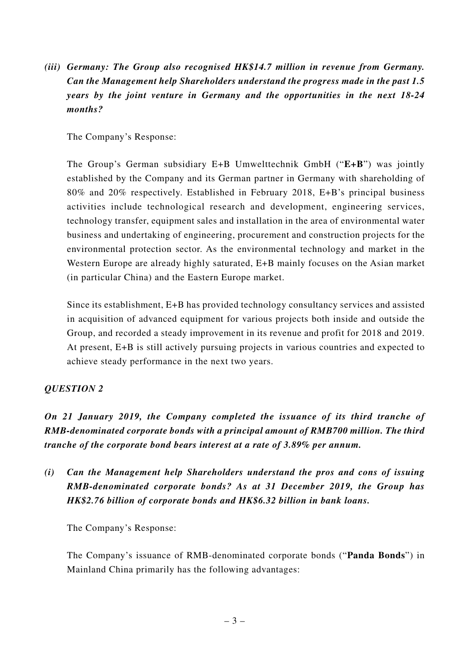*(iii) Germany: The Group also recognised HK\$14.7 million in revenue from Germany. Can the Management help Shareholders understand the progress made in the past 1.5 years by the joint venture in Germany and the opportunities in the next 18-24 months?*

The Company's Response:

The Group's German subsidiary E+B Umwelttechnik GmbH ("**E+B**") was jointly established by the Company and its German partner in Germany with shareholding of 80% and 20% respectively. Established in February 2018, E+B's principal business activities include technological research and development, engineering services, technology transfer, equipment sales and installation in the area of environmental water business and undertaking of engineering, procurement and construction projects for the environmental protection sector. As the environmental technology and market in the Western Europe are already highly saturated, E+B mainly focuses on the Asian market (in particular China) and the Eastern Europe market.

Since its establishment, E+B has provided technology consultancy services and assisted in acquisition of advanced equipment for various projects both inside and outside the Group, and recorded a steady improvement in its revenue and profit for 2018 and 2019. At present, E+B is still actively pursuing projects in various countries and expected to achieve steady performance in the next two years.

### *QUESTION 2*

*On 21 January 2019, the Company completed the issuance of its third tranche of RMB-denominated corporate bonds with a principal amount of RMB700 million. The third tranche of the corporate bond bears interest at a rate of 3.89% per annum.*

*(i) Can the Management help Shareholders understand the pros and cons of issuing RMB-denominated corporate bonds? As at 31 December 2019, the Group has HK\$2.76 billion of corporate bonds and HK\$6.32 billion in bank loans.*

The Company's Response:

The Company's issuance of RMB-denominated corporate bonds ("**Panda Bonds**") in Mainland China primarily has the following advantages: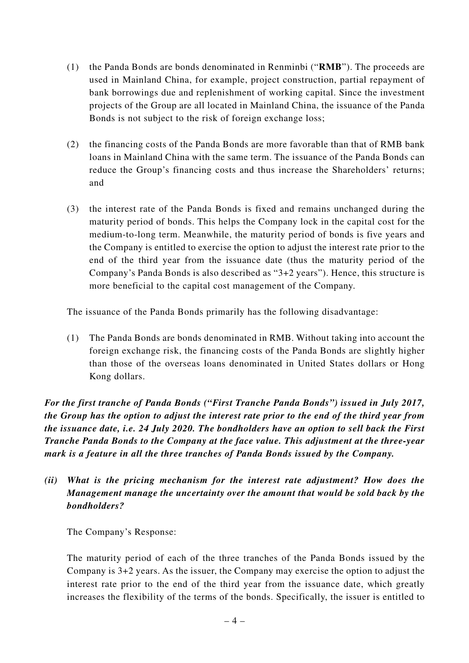- (1) the Panda Bonds are bonds denominated in Renminbi ("**RMB**"). The proceeds are used in Mainland China, for example, project construction, partial repayment of bank borrowings due and replenishment of working capital. Since the investment projects of the Group are all located in Mainland China, the issuance of the Panda Bonds is not subject to the risk of foreign exchange loss;
- (2) the financing costs of the Panda Bonds are more favorable than that of RMB bank loans in Mainland China with the same term. The issuance of the Panda Bonds can reduce the Group's financing costs and thus increase the Shareholders' returns; and
- (3) the interest rate of the Panda Bonds is fixed and remains unchanged during the maturity period of bonds. This helps the Company lock in the capital cost for the medium-to-long term. Meanwhile, the maturity period of bonds is five years and the Company is entitled to exercise the option to adjust the interest rate prior to the end of the third year from the issuance date (thus the maturity period of the Company's Panda Bonds is also described as "3+2 years"). Hence, this structure is more beneficial to the capital cost management of the Company.

The issuance of the Panda Bonds primarily has the following disadvantage:

(1) The Panda Bonds are bonds denominated in RMB. Without taking into account the foreign exchange risk, the financing costs of the Panda Bonds are slightly higher than those of the overseas loans denominated in United States dollars or Hong Kong dollars.

*For the first tranche of Panda Bonds ("First Tranche Panda Bonds") issued in July 2017, the Group has the option to adjust the interest rate prior to the end of the third year from the issuance date, i.e. 24 July 2020. The bondholders have an option to sell back the First Tranche Panda Bonds to the Company at the face value. This adjustment at the three-year mark is a feature in all the three tranches of Panda Bonds issued by the Company.*

*(ii) What is the pricing mechanism for the interest rate adjustment? How does the Management manage the uncertainty over the amount that would be sold back by the bondholders?*

The Company's Response:

The maturity period of each of the three tranches of the Panda Bonds issued by the Company is 3+2 years. As the issuer, the Company may exercise the option to adjust the interest rate prior to the end of the third year from the issuance date, which greatly increases the flexibility of the terms of the bonds. Specifically, the issuer is entitled to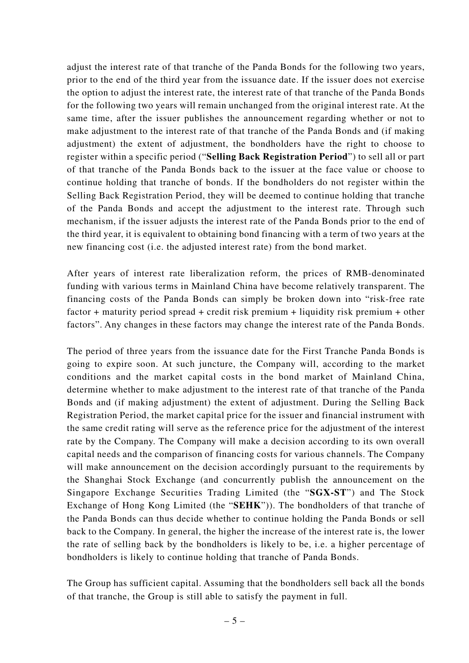adjust the interest rate of that tranche of the Panda Bonds for the following two years, prior to the end of the third year from the issuance date. If the issuer does not exercise the option to adjust the interest rate, the interest rate of that tranche of the Panda Bonds for the following two years will remain unchanged from the original interest rate. At the same time, after the issuer publishes the announcement regarding whether or not to make adjustment to the interest rate of that tranche of the Panda Bonds and (if making adjustment) the extent of adjustment, the bondholders have the right to choose to register within a specific period ("**Selling Back Registration Period**") to sell all or part of that tranche of the Panda Bonds back to the issuer at the face value or choose to continue holding that tranche of bonds. If the bondholders do not register within the Selling Back Registration Period, they will be deemed to continue holding that tranche of the Panda Bonds and accept the adjustment to the interest rate. Through such mechanism, if the issuer adjusts the interest rate of the Panda Bonds prior to the end of the third year, it is equivalent to obtaining bond financing with a term of two years at the new financing cost (i.e. the adjusted interest rate) from the bond market.

After years of interest rate liberalization reform, the prices of RMB-denominated funding with various terms in Mainland China have become relatively transparent. The financing costs of the Panda Bonds can simply be broken down into "risk-free rate factor + maturity period spread + credit risk premium + liquidity risk premium + other factors". Any changes in these factors may change the interest rate of the Panda Bonds.

The period of three years from the issuance date for the First Tranche Panda Bonds is going to expire soon. At such juncture, the Company will, according to the market conditions and the market capital costs in the bond market of Mainland China, determine whether to make adjustment to the interest rate of that tranche of the Panda Bonds and (if making adjustment) the extent of adjustment. During the Selling Back Registration Period, the market capital price for the issuer and financial instrument with the same credit rating will serve as the reference price for the adjustment of the interest rate by the Company. The Company will make a decision according to its own overall capital needs and the comparison of financing costs for various channels. The Company will make announcement on the decision accordingly pursuant to the requirements by the Shanghai Stock Exchange (and concurrently publish the announcement on the Singapore Exchange Securities Trading Limited (the "**SGX-ST**") and The Stock Exchange of Hong Kong Limited (the "**SEHK**")). The bondholders of that tranche of the Panda Bonds can thus decide whether to continue holding the Panda Bonds or sell back to the Company. In general, the higher the increase of the interest rate is, the lower the rate of selling back by the bondholders is likely to be, i.e. a higher percentage of bondholders is likely to continue holding that tranche of Panda Bonds.

The Group has sufficient capital. Assuming that the bondholders sell back all the bonds of that tranche, the Group is still able to satisfy the payment in full.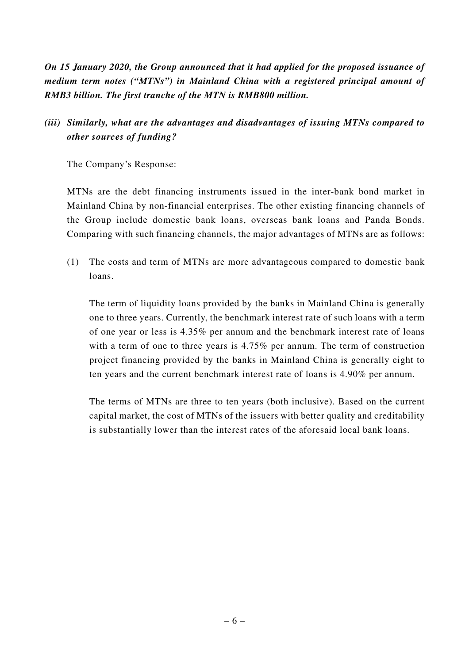*On 15 January 2020, the Group announced that it had applied for the proposed issuance of medium term notes ("MTNs") in Mainland China with a registered principal amount of RMB3 billion. The first tranche of the MTN is RMB800 million.*

## *(iii) Similarly, what are the advantages and disadvantages of issuing MTNs compared to other sources of funding?*

The Company's Response:

MTNs are the debt financing instruments issued in the inter-bank bond market in Mainland China by non-financial enterprises. The other existing financing channels of the Group include domestic bank loans, overseas bank loans and Panda Bonds. Comparing with such financing channels, the major advantages of MTNs are as follows:

(1) The costs and term of MTNs are more advantageous compared to domestic bank loans.

The term of liquidity loans provided by the banks in Mainland China is generally one to three years. Currently, the benchmark interest rate of such loans with a term of one year or less is 4.35% per annum and the benchmark interest rate of loans with a term of one to three years is 4.75% per annum. The term of construction project financing provided by the banks in Mainland China is generally eight to ten years and the current benchmark interest rate of loans is 4.90% per annum.

The terms of MTNs are three to ten years (both inclusive). Based on the current capital market, the cost of MTNs of the issuers with better quality and creditability is substantially lower than the interest rates of the aforesaid local bank loans.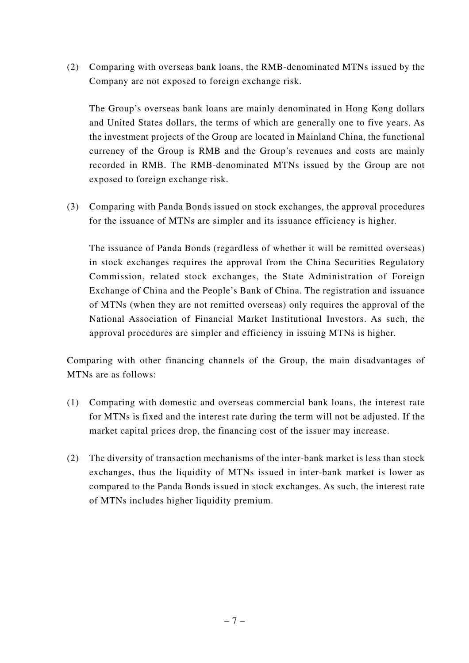(2) Comparing with overseas bank loans, the RMB-denominated MTNs issued by the Company are not exposed to foreign exchange risk.

The Group's overseas bank loans are mainly denominated in Hong Kong dollars and United States dollars, the terms of which are generally one to five years. As the investment projects of the Group are located in Mainland China, the functional currency of the Group is RMB and the Group's revenues and costs are mainly recorded in RMB. The RMB-denominated MTNs issued by the Group are not exposed to foreign exchange risk.

(3) Comparing with Panda Bonds issued on stock exchanges, the approval procedures for the issuance of MTNs are simpler and its issuance efficiency is higher.

The issuance of Panda Bonds (regardless of whether it will be remitted overseas) in stock exchanges requires the approval from the China Securities Regulatory Commission, related stock exchanges, the State Administration of Foreign Exchange of China and the People's Bank of China. The registration and issuance of MTNs (when they are not remitted overseas) only requires the approval of the National Association of Financial Market Institutional Investors. As such, the approval procedures are simpler and efficiency in issuing MTNs is higher.

Comparing with other financing channels of the Group, the main disadvantages of MTNs are as follows:

- (1) Comparing with domestic and overseas commercial bank loans, the interest rate for MTNs is fixed and the interest rate during the term will not be adjusted. If the market capital prices drop, the financing cost of the issuer may increase.
- (2) The diversity of transaction mechanisms of the inter-bank market is less than stock exchanges, thus the liquidity of MTNs issued in inter-bank market is lower as compared to the Panda Bonds issued in stock exchanges. As such, the interest rate of MTNs includes higher liquidity premium.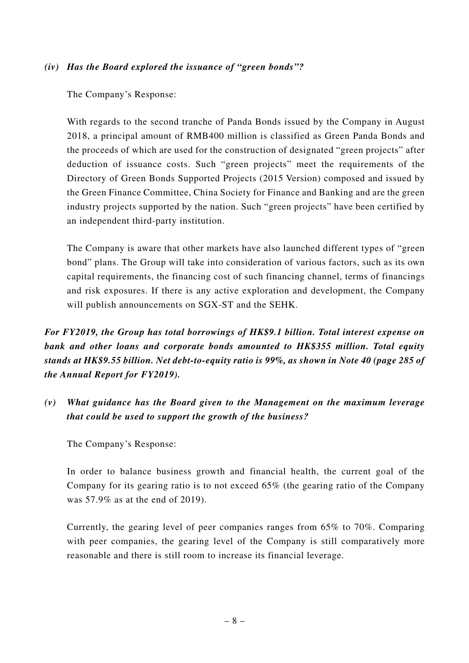#### *(iv) Has the Board explored the issuance of "green bonds"?*

The Company's Response:

With regards to the second tranche of Panda Bonds issued by the Company in August 2018, a principal amount of RMB400 million is classified as Green Panda Bonds and the proceeds of which are used for the construction of designated "green projects" after deduction of issuance costs. Such "green projects" meet the requirements of the Directory of Green Bonds Supported Projects (2015 Version) composed and issued by the Green Finance Committee, China Society for Finance and Banking and are the green industry projects supported by the nation. Such "green projects" have been certified by an independent third-party institution.

The Company is aware that other markets have also launched different types of "green bond" plans. The Group will take into consideration of various factors, such as its own capital requirements, the financing cost of such financing channel, terms of financings and risk exposures. If there is any active exploration and development, the Company will publish announcements on SGX-ST and the SEHK.

*For FY2019, the Group has total borrowings of HK\$9.1 billion. Total interest expense on bank and other loans and corporate bonds amounted to HK\$355 million. Total equity stands at HK\$9.55 billion. Net debt-to-equity ratio is 99%, as shown in Note 40 (page 285 of the Annual Report for FY2019).*

*(v) What guidance has the Board given to the Management on the maximum leverage that could be used to support the growth of the business?*

The Company's Response:

In order to balance business growth and financial health, the current goal of the Company for its gearing ratio is to not exceed 65% (the gearing ratio of the Company was 57.9% as at the end of 2019).

Currently, the gearing level of peer companies ranges from 65% to 70%. Comparing with peer companies, the gearing level of the Company is still comparatively more reasonable and there is still room to increase its financial leverage.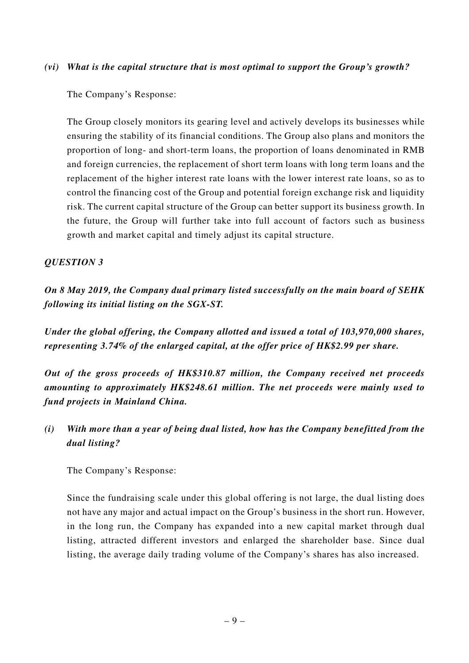#### *(vi) What is the capital structure that is most optimal to support the Group's growth?*

The Company's Response:

The Group closely monitors its gearing level and actively develops its businesses while ensuring the stability of its financial conditions. The Group also plans and monitors the proportion of long- and short-term loans, the proportion of loans denominated in RMB and foreign currencies, the replacement of short term loans with long term loans and the replacement of the higher interest rate loans with the lower interest rate loans, so as to control the financing cost of the Group and potential foreign exchange risk and liquidity risk. The current capital structure of the Group can better support its business growth. In the future, the Group will further take into full account of factors such as business growth and market capital and timely adjust its capital structure.

### *QUESTION 3*

*On 8 May 2019, the Company dual primary listed successfully on the main board of SEHK following its initial listing on the SGX-ST.*

*Under the global offering, the Company allotted and issued a total of 103,970,000 shares, representing 3.74% of the enlarged capital, at the offer price of HK\$2.99 per share.*

*Out of the gross proceeds of HK\$310.87 million, the Company received net proceeds amounting to approximately HK\$248.61 million. The net proceeds were mainly used to fund projects in Mainland China.*

*(i) With more than a year of being dual listed, how has the Company benefitted from the dual listing?*

The Company's Response:

Since the fundraising scale under this global offering is not large, the dual listing does not have any major and actual impact on the Group's business in the short run. However, in the long run, the Company has expanded into a new capital market through dual listing, attracted different investors and enlarged the shareholder base. Since dual listing, the average daily trading volume of the Company's shares has also increased.